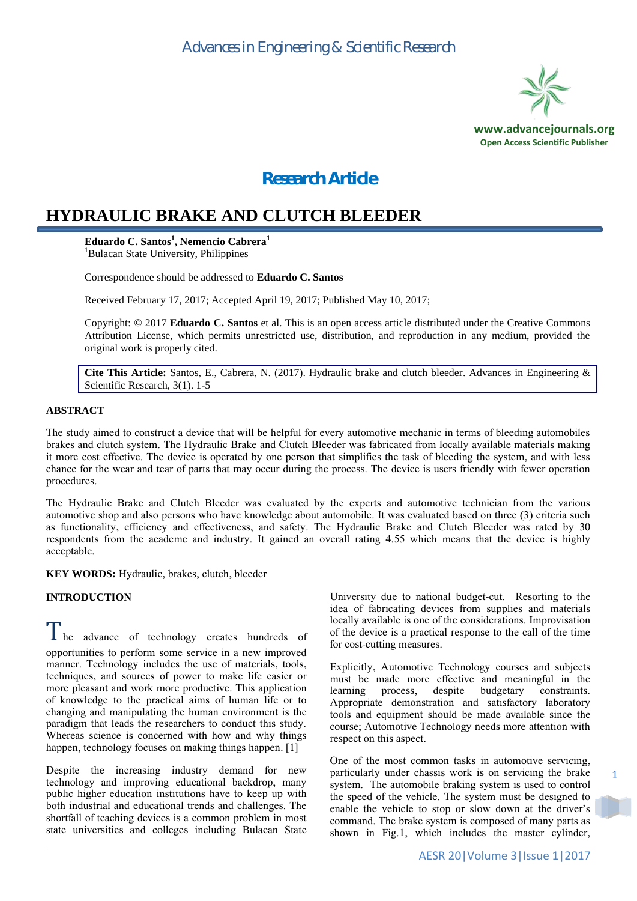

## *Research Article*

# **HYDRAULIC BRAKE AND CLUTCH BLEEDER**

**Eduardo C. Santos<sup>1</sup> , Nemencio Cabrera<sup>1</sup>** <sup>1</sup>Bulacan State University, Philippines

Correspondence should be addressed to **Eduardo C. Santos**

Received February 17, 2017; Accepted April 19, 2017; Published May 10, 2017;

Copyright: © 2017 **Eduardo C. Santos** et al. This is an open access article distributed under the Creative Commons Attribution License, which permits unrestricted use, distribution, and reproduction in any medium, provided the original work is properly cited.

**Cite This Article:** Santos, E., Cabrera, N. (2017). Hydraulic brake and clutch bleeder. Advances in Engineering & Scientific Research, 3(1). 1-5

#### **ABSTRACT**

The study aimed to construct a device that will be helpful for every automotive mechanic in terms of bleeding automobiles brakes and clutch system. The Hydraulic Brake and Clutch Bleeder was fabricated from locally available materials making it more cost effective. The device is operated by one person that simplifies the task of bleeding the system, and with less chance for the wear and tear of parts that may occur during the process. The device is users friendly with fewer operation procedures.

The Hydraulic Brake and Clutch Bleeder was evaluated by the experts and automotive technician from the various automotive shop and also persons who have knowledge about automobile. It was evaluated based on three (3) criteria such as functionality, efficiency and effectiveness, and safety. The Hydraulic Brake and Clutch Bleeder was rated by 30 respondents from the academe and industry. It gained an overall rating 4.55 which means that the device is highly acceptable.

**KEY WORDS:** Hydraulic, brakes, clutch, bleeder

#### **INTRODUCTION**

I he advance of technology creates hundreds of opportunities to perform some service in a new improved manner. Technology includes the use of materials, tools, techniques, and sources of power to make life easier or more pleasant and work more productive. This application of knowledge to the practical aims of human life or to changing and manipulating the human environment is the paradigm that leads the researchers to conduct this study. Whereas science is concerned with how and why things happen, technology focuses on making things happen. [1]

Despite the increasing industry demand for new technology and improving educational backdrop, many public higher education institutions have to keep up with both industrial and educational trends and challenges. The shortfall of teaching devices is a common problem in most state universities and colleges including Bulacan State University due to national budget-cut. Resorting to the idea of fabricating devices from supplies and materials locally available is one of the considerations. Improvisation of the device is a practical response to the call of the time for cost-cutting measures.

Explicitly, Automotive Technology courses and subjects must be made more effective and meaningful in the learning process, despite budgetary constraints. Appropriate demonstration and satisfactory laboratory tools and equipment should be made available since the course; Automotive Technology needs more attention with respect on this aspect.

One of the most common tasks in automotive servicing, particularly under chassis work is on servicing the brake system. The automobile braking system is used to control the speed of the vehicle. The system must be designed to enable the vehicle to stop or slow down at the driver's command. The brake system is composed of many parts as shown in Fig.1, which includes the master cylinder,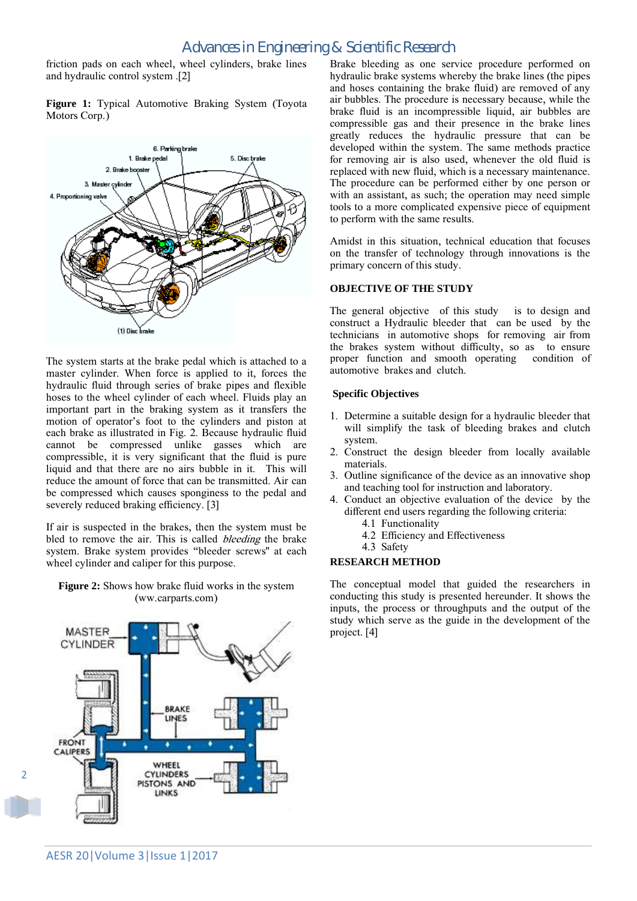### *Advances in Engineering & Scientific Research*

friction pads on each wheel, wheel cylinders, brake lines and hydraulic control system .[2]

**Figure 1:** Typical Automotive Braking System (Toyota Motors Corp.)



The system starts at the brake pedal which is attached to a master cylinder. When force is applied to it, forces the hydraulic fluid through series of brake pipes and flexible hoses to the wheel cylinder of each wheel. Fluids play an important part in the braking system as it transfers the motion of operator's foot to the cylinders and piston at each brake as illustrated in Fig. 2. Because hydraulic fluid cannot be compressed unlike gasses which are compressible, it is very significant that the fluid is pure liquid and that there are no airs bubble in it. This will reduce the amount of force that can be transmitted. Air can be compressed which causes sponginess to the pedal and severely reduced braking efficiency. [3]

If air is suspected in the brakes, then the system must be bled to remove the air. This is called bleeding the brake system. Brake system provides "bleeder screws" at each wheel cylinder and caliper for this purpose.

**Figure 2:** Shows how brake fluid works in the system (ww.carparts.com)



Brake bleeding as one service procedure performed on hydraulic brake systems whereby the brake lines (the pipes and hoses containing the brake fluid) are removed of any air bubbles. The procedure is necessary because, while the brake fluid is an incompressible liquid, air bubbles are compressible gas and their presence in the brake lines greatly reduces the hydraulic pressure that can be developed within the system. The same methods practice for removing air is also used, whenever the old fluid is replaced with new fluid, which is a necessary maintenance. The procedure can be performed either by one person or with an assistant, as such; the operation may need simple tools to a more complicated expensive piece of equipment to perform with the same results.

Amidst in this situation, technical education that focuses on the transfer of technology through innovations is the primary concern of this study.

#### **OBJECTIVE OF THE STUDY**

The general objective of this study is to design and construct a Hydraulic bleeder that can be used by the technicians in automotive shops for removing air from the brakes system without difficulty, so as to ensure proper function and smooth operating condition of automotive brakes and clutch.

#### **Specific Objectives**

- 1. Determine a suitable design for a hydraulic bleeder that will simplify the task of bleeding brakes and clutch system.
- 2. Construct the design bleeder from locally available materials.
- 3. Outline significance of the device as an innovative shop and teaching tool for instruction and laboratory.
- 4. Conduct an objective evaluation of the device by the different end users regarding the following criteria:
	- 4.1 Functionality
	- 4.2 Efficiency and Effectiveness
	- 4.3 Safety

#### **RESEARCH METHOD**

The conceptual model that guided the researchers in conducting this study is presented hereunder. It shows the inputs, the process or throughputs and the output of the study which serve as the guide in the development of the project. [4]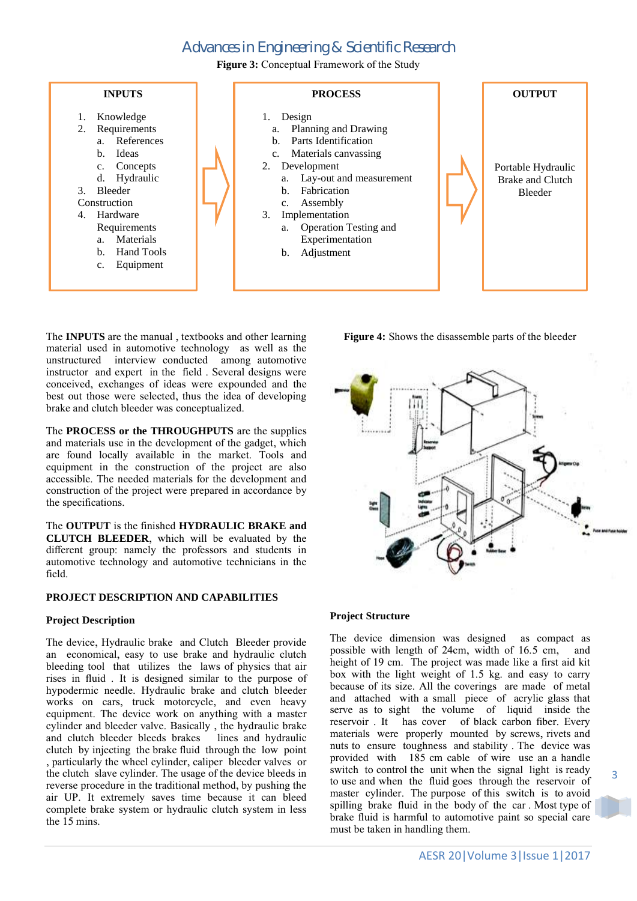## *Advances in Engineering & Scientific Research*

**Figure 3:** Conceptual Framework of the Study



The **INPUTS** are the manual , textbooks and other learning material used in automotive technology as well as the unstructured interview conducted among automotive instructor and expert in the field . Several designs were conceived, exchanges of ideas were expounded and the best out those were selected, thus the idea of developing brake and clutch bleeder was conceptualized.

The **PROCESS or the THROUGHPUTS** are the supplies and materials use in the development of the gadget, which are found locally available in the market. Tools and equipment in the construction of the project are also accessible. The needed materials for the development and construction of the project were prepared in accordance by the specifications.

The **OUTPUT** is the finished **HYDRAULIC BRAKE and CLUTCH BLEEDER**, which will be evaluated by the different group: namely the professors and students in automotive technology and automotive technicians in the field.

#### **PROJECT DESCRIPTION AND CAPABILITIES**

#### **Project Description**

The device, Hydraulic brake and Clutch Bleeder provide an economical, easy to use brake and hydraulic clutch bleeding tool that utilizes the laws of physics that air rises in fluid . It is designed similar to the purpose of hypodermic needle. Hydraulic brake and clutch bleeder works on cars, truck motorcycle, and even heavy equipment. The device work on anything with a master cylinder and bleeder valve. Basically , the hydraulic brake and clutch bleeder bleeds brakes lines and hydraulic clutch by injecting the brake fluid through the low point , particularly the wheel cylinder, caliper bleeder valves or the clutch slave cylinder. The usage of the device bleeds in reverse procedure in the traditional method, by pushing the air UP. It extremely saves time because it can bleed complete brake system or hydraulic clutch system in less the  $\overline{15}$  mins.

**Figure 4:** Shows the disassemble parts of the bleeder



#### **Project Structure**

The device dimension was designed as compact as possible with length of 24cm, width of 16.5 cm, and height of 19 cm. The project was made like a first aid kit box with the light weight of 1.5 kg. and easy to carry because of its size. All the coverings are made of metal and attached with a small piece of acrylic glass that serve as to sight the volume of liquid inside the reservoir . It has cover of black carbon fiber. Every materials were properly mounted by screws, rivets and nuts to ensure toughness and stability . The device was provided with 185 cm cable of wire use an a handle switch to control the unit when the signal light is ready to use and when the fluid goes through the reservoir of master cylinder. The purpose of this switch is to avoid spilling brake fluid in the body of the car . Most type of brake fluid is harmful to automotive paint so special care must be taken in handling them.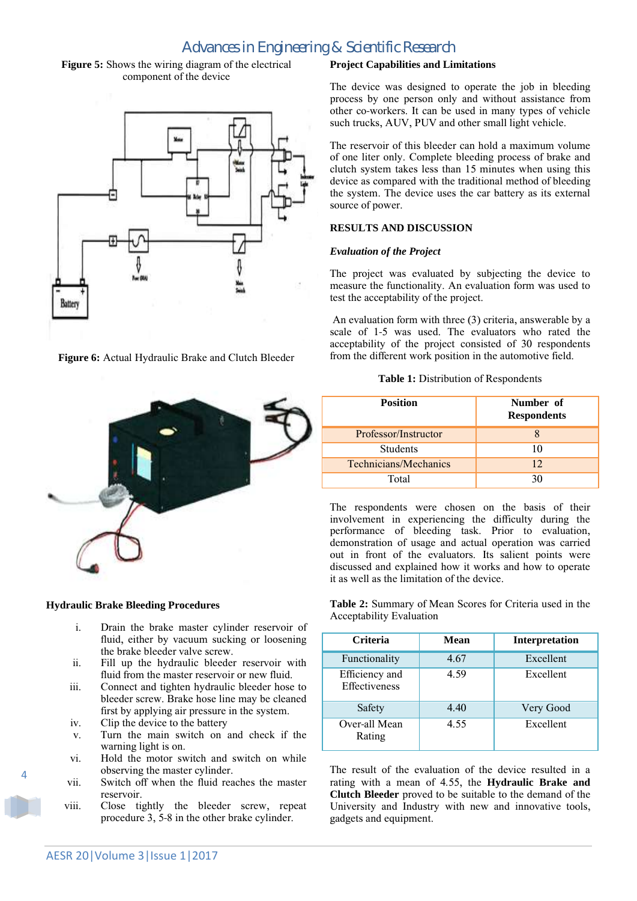### *Advances in Engineering & Scientific Research*

**Figure 5:** Shows the wiring diagram of the electrical component of the device



**Figure 6:** Actual Hydraulic Brake and Clutch Bleeder



#### **Hydraulic Brake Bleeding Procedures**

- i. Drain the brake master cylinder reservoir of fluid, either by vacuum sucking or loosening the brake bleeder valve screw.
- ii. Fill up the hydraulic bleeder reservoir with fluid from the master reservoir or new fluid.
- iii. Connect and tighten hydraulic bleeder hose to bleeder screw. Brake hose line may be cleaned first by applying air pressure in the system.
- iv. Clip the device to the battery
- v. Turn the main switch on and check if the warning light is on.
- vi. Hold the motor switch and switch on while observing the master cylinder.
- vii. Switch off when the fluid reaches the master reservoir.
- viii. Close tightly the bleeder screw, repeat procedure 3, 5-8 in the other brake cylinder.

#### **Project Capabilities and Limitations**

The device was designed to operate the job in bleeding process by one person only and without assistance from other co-workers. It can be used in many types of vehicle such trucks, AUV, PUV and other small light vehicle.

The reservoir of this bleeder can hold a maximum volume of one liter only. Complete bleeding process of brake and clutch system takes less than 15 minutes when using this device as compared with the traditional method of bleeding the system. The device uses the car battery as its external source of power.

#### **RESULTS AND DISCUSSION**

#### *Evaluation of the Project*

The project was evaluated by subjecting the device to measure the functionality. An evaluation form was used to test the acceptability of the project.

scale of  $1-5$  was used. The evaluators who rated the An evaluation form with three (3) criteria, answerable by a acceptability of the project consisted of 30 respondents from the different work position in the automotive field.

| <b>Table 1:</b> Distribution of Respondents |  |
|---------------------------------------------|--|
|---------------------------------------------|--|

| <b>Position</b>              | Number of<br><b>Respondents</b> |
|------------------------------|---------------------------------|
| Professor/Instructor         |                                 |
| <b>Students</b>              | 10                              |
| <b>Technicians/Mechanics</b> | 12 <sub>1</sub>                 |
| Total                        | 30                              |

The respondents were chosen on the basis of their involvement in experiencing the difficulty during the performance of bleeding task. Prior to evaluation, demonstration of usage and actual operation was carried out in front of the evaluators. Its salient points were discussed and explained how it works and how to operate it as well as the limitation of the device.

**Table 2:** Summary of Mean Scores for Criteria used in the Acceptability Evaluation

| <b>Criteria</b>                 | Mean | <b>Interpretation</b> |
|---------------------------------|------|-----------------------|
| Functionality                   | 4.67 | Excellent             |
| Efficiency and<br>Effectiveness | 4.59 | Excellent             |
| Safety                          | 4.40 | Very Good             |
| Over-all Mean<br>Rating         | 4.55 | Excellent             |

The result of the evaluation of the device resulted in a rating with a mean of 4.55, the **Hydraulic Brake and Clutch Bleeder** proved to be suitable to the demand of the University and Industry with new and innovative tools, gadgets and equipment.